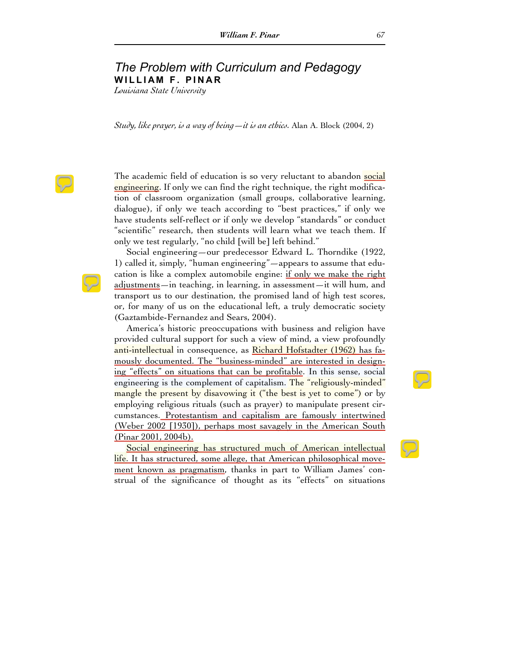# *The Problem with Curriculum and Pedagogy*  **WILLIAM F. PINAR**

*Louisiana State University* 

*Study, like prayer, is a way of being—it is an ethics.* Alan A. Block (2004, 2)

The academic field of education is so very reluctant to abandon social engineering. If only we can find the right technique, the right modification of classroom organization (small groups, collaborative learning, dialogue), if only we teach according to "best practices," if only we have students self-reflect or if only we develop "standards" or conduct "scientific" research, then students will learn what we teach them. If only we test regularly, "no child [will be] left behind."

Social engineering—our predecessor Edward L. Thorndike (1922, 1) called it, simply, "human engineering"—appears to assume that education is like a complex automobile engine: if only we make the right adjustments—in teaching, in learning, in assessment—it will hum, and transport us to our destination, the promised land of high test scores, or, for many of us on the educational left, a truly democratic society (Gaztambide-Fernandez and Sears, 2004).

America's historic preoccupations with business and religion have provided cultural support for such a view of mind, a view profoundly anti-intellectual in consequence, as Richard Hofstadter (1962) has famously documented. The "business-minded" are interested in designing "effects" on situations that can be profitable. In this sense, social engineering is the complement of capitalism. The "religiously-minded" mangle the present by disavowing it ("the best is yet to come") or by employing religious rituals (such as prayer) to manipulate present circumstances. Protestantism and capitalism are famously intertwined (Weber 2002 [1930]), perhaps most savagely in the American South (Pinar 2001, 2004b).

Social engineering has structured much of American intellectual life. It has structured, some allege, that American philosophical movement known as pragmatism, thanks in part to William James' construal of the significance of thought as its "effects" on situations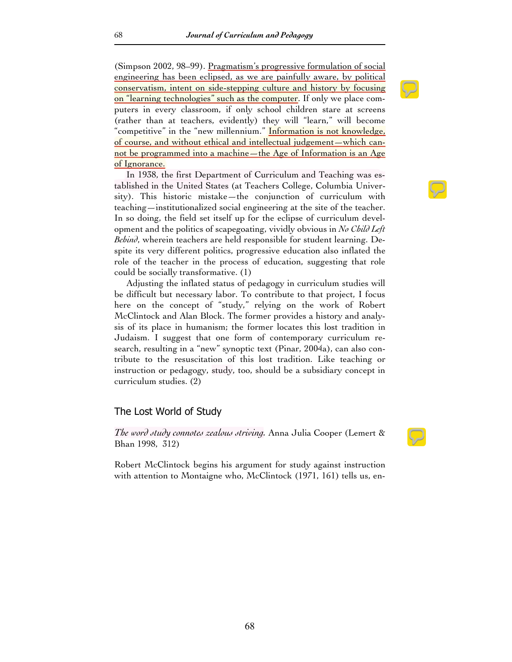(Simpson 2002, 98–99). Pragmatism's progressive formulation of social engineering has been eclipsed, as we are painfully aware, by political conservatism, intent on side-stepping culture and history by focusing on "learning technologies" such as the computer. If only we place computers in every classroom, if only school children stare at screens (rather than at teachers, evidently) they will "learn," will become "competitive" in the "new millennium." **Information is not knowledge**, of course, and without ethical and intellectual judgement—which cannot be programmed into a machine—the Age of Information is an Age of Ignorance.

In 1938, the first Department of Curriculum and Teaching was established in the United States (at Teachers College, Columbia University). This historic mistake—the conjunction of curriculum with teaching—institutionalized social engineering at the site of the teacher. In so doing, the field set itself up for the eclipse of curriculum development and the politics of scapegoating, vividly obvious in *No Child Left Behind*, wherein teachers are held responsible for student learning. Despite its very different politics, progressive education also inflated the role of the teacher in the process of education, suggesting that role could be socially transformative. (1)

Adjusting the inflated status of pedagogy in curriculum studies will be difficult but necessary labor. To contribute to that project, I focus here on the concept of "study," relying on the work of Robert McClintock and Alan Block. The former provides a history and analysis of its place in humanism; the former locates this lost tradition in Judaism. I suggest that one form of contemporary curriculum research, resulting in a "new" synoptic text (Pinar, 2004a), can also contribute to the resuscitation of this lost tradition. Like teaching or instruction or pedagogy, study, too, should be a subsidiary concept in curriculum studies. (2)

## The Lost World of Study

*The word study connotes zealous striving.* Anna Julia Cooper (Lemert & Bhan 1998, 312)

Robert McClintock begins his argument for study against instruction with attention to Montaigne who, McClintock (1971, 161) tells us, en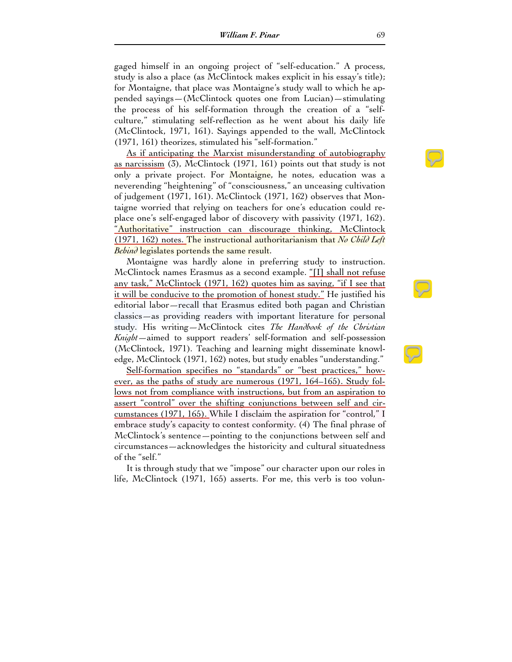gaged himself in an ongoing project of "self-education." A process, study is also a place (as McClintock makes explicit in his essay's title); for Montaigne, that place was Montaigne's study wall to which he appended sayings—(McClintock quotes one from Lucian)—stimulating the process of his self-formation through the creation of a "selfculture," stimulating self-reflection as he went about his daily life (McClintock, 1971, 161). Sayings appended to the wall, McClintock (1971, 161) theorizes, stimulated his "self-formation."

As if anticipating the Marxist misunderstanding of autobiography as narcissism (3), McClintock (1971, 161) points out that study is not only a private project. For Montaigne, he notes, education was a neverending "heightening" of "consciousness," an unceasing cultivation of judgement (1971, 161). McClintock (1971, 162) observes that Montaigne worried that relying on teachers for one's education could replace one's self-engaged labor of discovery with passivity (1971, 162). "Authoritative" instruction can discourage thinking, McClintock (1971, 162) notes. The instructional authoritarianism that *No Child Left Behind* legislates portends the same result.

Montaigne was hardly alone in preferring study to instruction. McClintock names Erasmus as a second example. "[I] shall not refuse any task," McClintock (1971, 162) quotes him as saying, "if I see that it will be conducive to the promotion of honest study." He justified his editorial labor—recall that Erasmus edited both pagan and Christian classics—as providing readers with important literature for personal study. His writing—McClintock cites *The Handbook of the Christian Knight*—aimed to support readers' self-formation and self-possession (McClintock, 1971). Teaching and learning might disseminate knowledge, McClintock (1971, 162) notes, but study enables "understanding."

Self-formation specifies no "standards" or "best practices," however, as the paths of study are numerous (1971, 164–165). Study follows not from compliance with instructions, but from an aspiration to assert "control" over the shifting conjunctions between self and circumstances (1971, 165). While I disclaim the aspiration for "control," I embrace study's capacity to contest conformity. (4) The final phrase of McClintock's sentence—pointing to the conjunctions between self and circumstances—acknowledges the historicity and cultural situatedness of the "self."

It is through study that we "impose" our character upon our roles in life, McClintock (1971, 165) asserts. For me, this verb is too volun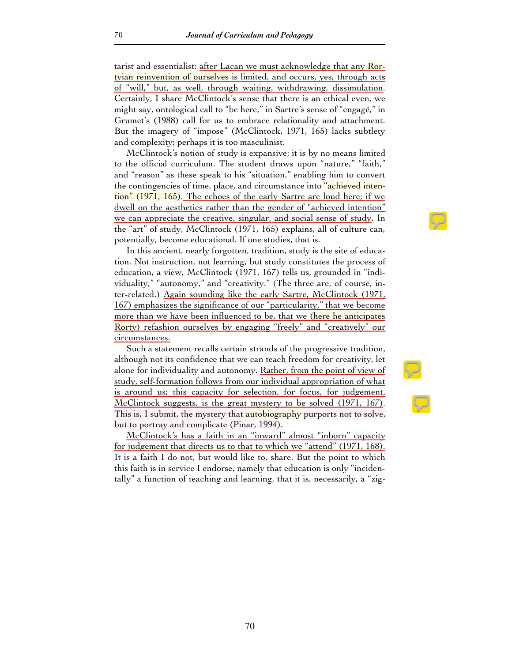tarist and essentialist: after Lacan we must acknowledge that any Rortyian reinvention of ourselves is limited, and occurs, yes, through acts of "will," but, as well, through waiting, withdrawing, dissimulation. Certainly, I share McClintock's sense that there is an ethical even, we might say, ontological call to "be here," in Sartre's sense of "engagé," in Grumet's (1988) call for us to embrace relationality and attachment. But the imagery of "impose" (McClintock, 1971, 165) lacks subtlety and complexity; perhaps it is too masculinist.

McClintock's notion of study is expansive; it is by no means limited to the official curriculum. The student draws upon "nature," "faith," and "reason" as these speak to his "situation," enabling him to convert the contingencies of time, place, and circumstance into "achieved intention" (1971, 165). The echoes of the early Sartre are loud here; if we dwell on the aesthetics rather than the gender of "achieved intention" we can appreciate the creative, singular, and social sense of study. In the "art" of study, McClintock (1971, 165) explains, all of culture can, potentially, become educational. If one studies, that is.

In this ancient, nearly forgotten, tradition, study is the site of education. Not instruction, not learning, but study constitutes the process of education, a view, McClintock (1971, 167) tells us, grounded in "individuality," "autonomy," and "creativity." (The three are, of course, inter-related.) Again sounding like the early Sartre, McClintock (1971, 167) emphasizes the significance of our "particularity," that we become more than we have been influenced to be, that we (here he anticipates Rorty) refashion ourselves by engaging "freely" and "creatively" our circumstances.

Such a statement recalls certain strands of the progressive tradition, although not its confidence that we can teach freedom for creativity, let alone for individuality and autonomy. Rather, from the point of view of study, self-formation follows from our individual appropriation of what is around us; this capacity for selection, for focus, for judgement, McClintock suggests, is the great mystery to be solved (1971, 167). This is, I submit, the mystery that autobiography purports not to solve, but to portray and complicate (Pinar, 1994).

McClintock's has a faith in an "inward" almost "inborn" capacity for judgement that directs us to that to which we "attend" (1971, 168). It is a faith I do not, but would like to, share. But the point to which this faith is in service I endorse, namely that education is only "incidentally" a function of teaching and learning, that it is, necessarily, a "zig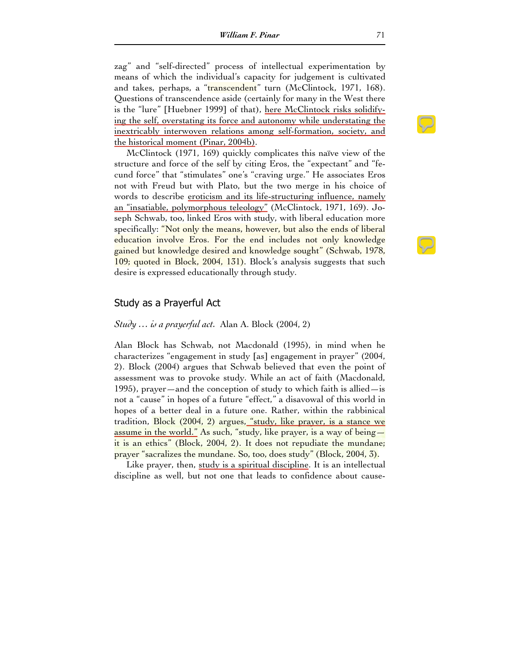zag" and "self-directed" process of intellectual experimentation by means of which the individual's capacity for judgement is cultivated and takes, perhaps, a "transcendent" turn (McClintock, 1971, 168). Questions of transcendence aside (certainly for many in the West there is the "lure" [Huebner 1999] of that), here McClintock risks solidifying the self, overstating its force and autonomy while understating the inextricably interwoven relations among self-formation, society, and the historical moment (Pinar, 2004b).

McClintock (1971, 169) quickly complicates this naïve view of the structure and force of the self by citing Eros, the "expectant" and "fecund force" that "stimulates" one's "craving urge." He associates Eros not with Freud but with Plato, but the two merge in his choice of words to describe eroticism and its life-structuring influence, namely an "insatiable, polymorphous teleology" (McClintock, 1971, 169). Joseph Schwab, too, linked Eros with study, with liberal education more specifically: "Not only the means, however, but also the ends of liberal education involve Eros. For the end includes not only knowledge gained but knowledge desired and knowledge sought" (Schwab, 1978, 109; quoted in Block, 2004, 131). Block's analysis suggests that such desire is expressed educationally through study.

## Study as a Prayerful Act

#### *Study … is a prayerful act.* Alan A. Block (2004, 2)

Alan Block has Schwab, not Macdonald (1995), in mind when he characterizes "engagement in study [as] engagement in prayer" (2004, 2). Block (2004) argues that Schwab believed that even the point of assessment was to provoke study. While an act of faith (Macdonald, 1995), prayer—and the conception of study to which faith is allied—is not a "cause" in hopes of a future "effect," a disavowal of this world in hopes of a better deal in a future one. Rather, within the rabbinical tradition, Block (2004, 2) argues, "study, like prayer, is a stance we assume in the world." As such, "study, like prayer, is a way of being it is an ethics" (Block, 2004, 2). It does not repudiate the mundane; prayer "sacralizes the mundane. So, too, does study" (Block, 2004, 3).

Like prayer, then, study is a spiritual discipline. It is an intellectual discipline as well, but not one that leads to confidence about cause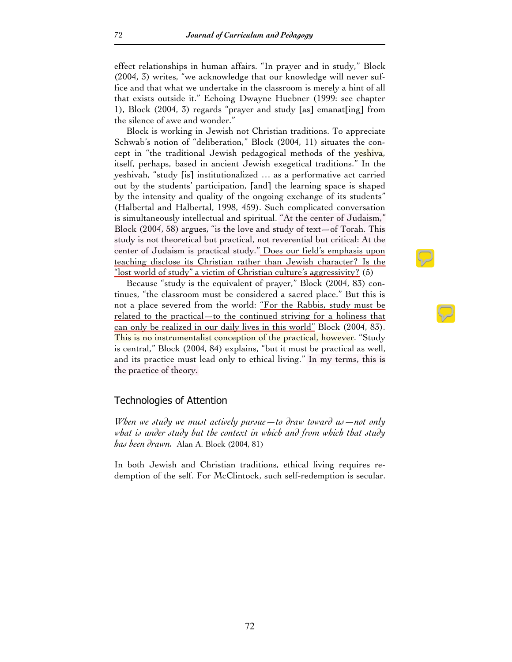effect relationships in human affairs. "In prayer and in study," Block (2004, 3) writes, "we acknowledge that our knowledge will never suffice and that what we undertake in the classroom is merely a hint of all that exists outside it." Echoing Dwayne Huebner (1999: see chapter 1), Block (2004, 3) regards "prayer and study [as] emanat[ing] from the silence of awe and wonder."

Block is working in Jewish not Christian traditions. To appreciate Schwab's notion of "deliberation," Block (2004, 11) situates the concept in "the traditional Jewish pedagogical methods of the *yeshiva*, itself, perhaps, based in ancient Jewish exegetical traditions." In the yeshivah, "study [is] institutionalized … as a performative act carried out by the students' participation, [and] the learning space is shaped by the intensity and quality of the ongoing exchange of its students" (Halbertal and Halbertal, 1998, 459). Such complicated conversation is simultaneously intellectual and spiritual. "At the center of Judaism," Block (2004, 58) argues, "is the love and study of text—of Torah. This study is not theoretical but practical, not reverential but critical: At the center of Judaism is practical study." Does our field's emphasis upon teaching disclose its Christian rather than Jewish character? Is the "lost world of study" a victim of Christian culture's aggressivity? (5)

Because "study is the equivalent of prayer," Block (2004, 83) continues, "the classroom must be considered a sacred place." But this is not a place severed from the world: "For the Rabbis, study must be related to the practical—to the continued striving for a holiness that can only be realized in our daily lives in this world" Block (2004, 83). This is no instrumentalist conception of the practical, however. "Study is central," Block (2004, 84) explains, "but it must be practical as well, and its practice must lead only to ethical living." In my terms, this is the practice of theory.

#### Technologies of Attention

*When we study we must actively pursue—to draw toward us—not only what is under study but the context in which and from which that study has been drawn.* Alan A. Block (2004, 81)

In both Jewish and Christian traditions, ethical living requires redemption of the self. For McClintock, such self-redemption is secular.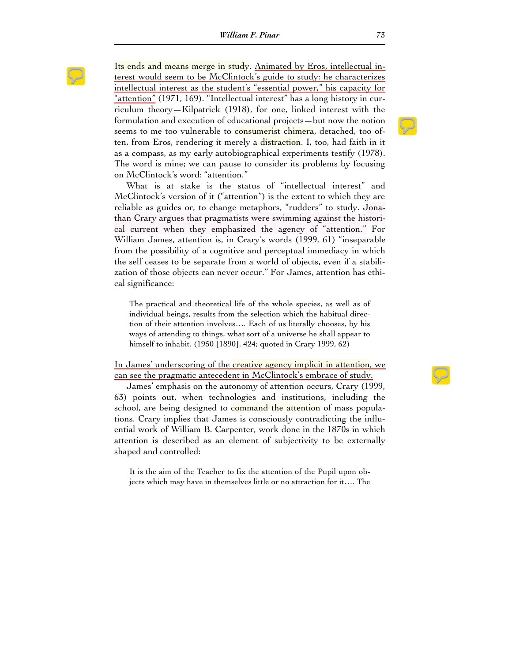Its ends and means merge in study. Animated by Eros, intellectual interest would seem to be McClintock's guide to study: he characterizes intellectual interest as the student's "essential power," his capacity for "attention" (1971, 169). "Intellectual interest" has a long history in curriculum theory—Kilpatrick (1918), for one, linked interest with the formulation and execution of educational projects—but now the notion seems to me too vulnerable to **consumerist** chimera, detached, too often, from Eros, rendering it merely a distraction. I, too, had faith in it as a compass, as my early autobiographical experiments testify (1978). The word is mine; we can pause to consider its problems by focusing on McClintock's word: "attention."

What is at stake is the status of "intellectual interest" and McClintock's version of it ("attention") is the extent to which they are reliable as guides or, to change metaphors, "rudders" to study. Jonathan Crary argues that pragmatists were swimming against the historical current when they emphasized the agency of "attention." For William James, attention is, in Crary's words (1999, 61) "inseparable from the possibility of a cognitive and perceptual immediacy in which the self ceases to be separate from a world of objects, even if a stabilization of those objects can never occur." For James, attention has ethical significance:

The practical and theoretical life of the whole species, as well as of individual beings, results from the selection which the habitual direction of their attention involves…. Each of us literally chooses, by his ways of attending to things, what sort of a universe he shall appear to himself to inhabit. (1950 [1890], 424; quoted in Crary 1999, 62)

In James' underscoring of the *creative agency implicit in attention*, we can see the pragmatic antecedent in McClintock's embrace of study.

James' emphasis on the autonomy of attention occurs, Crary (1999, 63) points out, when technologies and institutions, including the school, are being designed to command the attention of mass populations. Crary implies that James is consciously contradicting the influential work of William B. Carpenter, work done in the 1870s in which attention is described as an element of subjectivity to be externally shaped and controlled:

It is the aim of the Teacher to fix the attention of the Pupil upon objects which may have in themselves little or no attraction for it…. The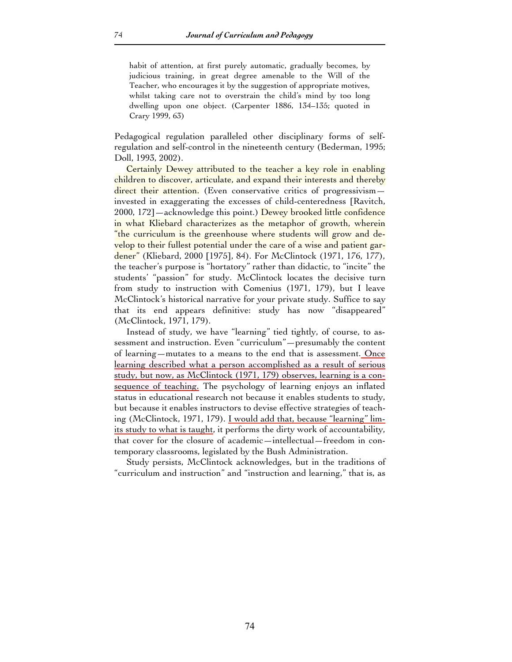habit of attention, at first purely automatic, gradually becomes, by judicious training, in great degree amenable to the Will of the Teacher, who encourages it by the suggestion of appropriate motives, whilst taking care not to overstrain the child's mind by too long dwelling upon one object. (Carpenter 1886, 134–135; quoted in Crary 1999, 63)

Pedagogical regulation paralleled other disciplinary forms of selfregulation and self-control in the nineteenth century (Bederman, 1995; Doll, 1993, 2002).

Certainly Dewey attributed to the teacher a key role in enabling children to discover, articulate, and expand their interests and thereby direct their attention. (Even conservative critics of progressivism invested in exaggerating the excesses of child-centeredness [Ravitch, 2000, 172]—acknowledge this point.) Dewey brooked little confidence in what Kliebard characterizes as the metaphor of growth, wherein "the curriculum is the greenhouse where students will grow and develop to their fullest potential under the care of a wise and patient gardener" (Kliebard, 2000 [1975], 84). For McClintock (1971, 176, 177), the teacher's purpose is "hortatory" rather than didactic, to "incite" the students' "passion" for study. McClintock locates the decisive turn from study to instruction with Comenius (1971, 179), but I leave McClintock's historical narrative for your private study. Suffice to say that its end appears definitive: study has now "disappeared" (McClintock, 1971, 179).

Instead of study, we have "learning" tied tightly, of course, to assessment and instruction. Even "curriculum"—presumably the content of learning—mutates to a means to the end that is assessment. Once learning described what a person accomplished as a result of serious study, but now, as McClintock (1971, 179) observes, learning is a consequence of teaching. The psychology of learning enjoys an inflated status in educational research not because it enables students to study, but because it enables instructors to devise effective strategies of teaching (McClintock, 1971, 179). <u>I would add that, because "learning" lim-</u> its study to what is taught, it performs the dirty work of accountability, that cover for the closure of academic—intellectual—freedom in contemporary classrooms, legislated by the Bush Administration.

Study persists, McClintock acknowledges, but in the traditions of "curriculum and instruction" and "instruction and learning," that is, as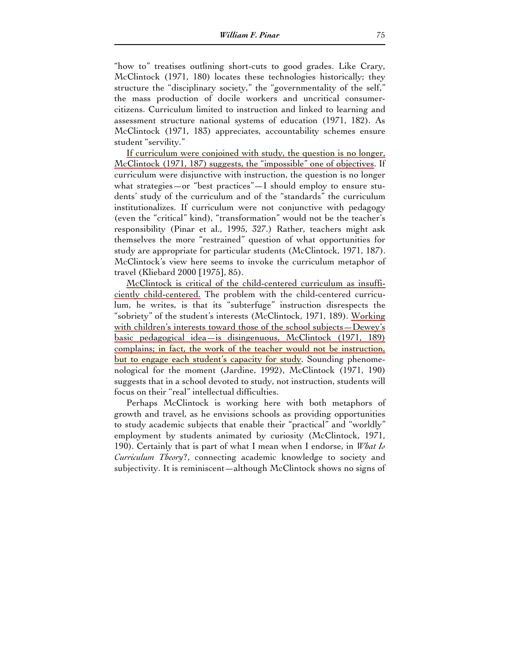"how to" treatises outlining short-cuts to good grades. Like Crary, McClintock (1971, 180) locates these technologies historically; they structure the "disciplinary society," the "governmentality of the self," the mass production of docile workers and uncritical consumercitizens. Curriculum limited to instruction and linked to learning and assessment structure national systems of education (1971, 182). As McClintock (1971, 183) appreciates, accountability schemes ensure student "servility."

If curriculum were conjoined with study, the question is no longer, McClintock (1971, 187) suggests, the "impossible" one of objectives. If curriculum were disjunctive with instruction, the question is no longer what strategies—or "best practices"—I should employ to ensure students' study of the curriculum and of the "standards" the curriculum institutionalizes. If curriculum were not conjunctive with pedagogy (even the "critical" kind), "transformation" would not be the teacher's responsibility (Pinar et al., 1995, 327.) Rather, teachers might ask themselves the more "restrained" question of what opportunities for study are appropriate for particular students (McClintock, 1971, 187). McClintock's view here seems to invoke the curriculum metaphor of travel (Kliebard 2000 [1975], 85).

McClintock is critical of the child-centered curriculum as insufficiently child-centered. The problem with the child-centered curriculum, he writes, is that its "subterfuge" instruction disrespects the "sobriety" of the student's interests (McClintock, 1971, 189). Working with children's interests toward those of the school subjects—Dewey's basic pedagogical idea—is disingenuous, McClintock (1971, 189) complains; in fact, the work of the teacher would not be instruction, but to engage each student's capacity for study. Sounding phenomenological for the moment (Jardine, 1992), McClintock (1971, 190) suggests that in a school devoted to study, not instruction, students will focus on their "real" intellectual difficulties.

Perhaps McClintock is working here with both metaphors of growth and travel, as he envisions schools as providing opportunities to study academic subjects that enable their "practical" and "worldly" employment by students animated by curiosity (McClintock, 1971, 190). Certainly that is part of what I mean when I endorse, in *What Is Curriculum Theory*?, connecting academic knowledge to society and subjectivity. It is reminiscent—although McClintock shows no signs of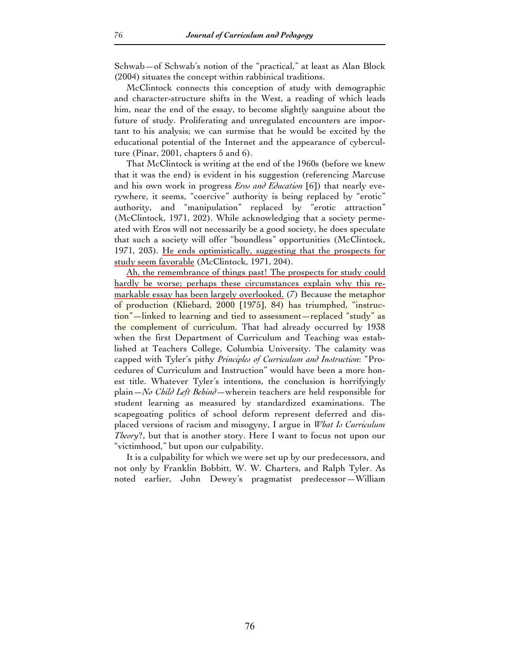Schwab—of Schwab's notion of the "practical," at least as Alan Block (2004) situates the concept within rabbinical traditions.

McClintock connects this conception of study with demographic and character-structure shifts in the West, a reading of which leads him, near the end of the essay, to become slightly sanguine about the future of study. Proliferating and unregulated encounters are important to his analysis; we can surmise that he would be excited by the educational potential of the Internet and the appearance of cyberculture (Pinar, 2001, chapters 5 and 6).

That McClintock is writing at the end of the 1960s (before we knew that it was the end) is evident in his suggestion (referencing Marcuse and his own work in progress *Eros and Education* [6]) that nearly everywhere, it seems, "coercive" authority is being replaced by "erotic" authority, and "manipulation" replaced by "erotic attraction" (McClintock, 1971, 202). While acknowledging that a society permeated with Eros will not necessarily be a good society, he does speculate that such a society will offer "boundless" opportunities (McClintock, 1971, 203). He ends optimistically, suggesting that the prospects for study seem favorable (McClintock, 1971, 204).

Ah, the remembrance of things past! The prospects for study could hardly be worse; perhaps these circumstances explain why this remarkable essay has been largely overlooked. (7) Because the metaphor of production (Kliebard, 2000 [1975], 84) has triumphed, "instruction"—linked to learning and tied to assessment—replaced "study" as the complement of curriculum. That had already occurred by 1938 when the first Department of Curriculum and Teaching was established at Teachers College, Columbia University. The calamity was capped with Tyler's pithy *Principles of Curriculum and Instruction*: "Procedures of Curriculum and Instruction" would have been a more honest title. Whatever Tyler's intentions, the conclusion is horrifyingly plain—*No Child Left Behind*—wherein teachers are held responsible for student learning as measured by standardized examinations. The scapegoating politics of school deform represent deferred and displaced versions of racism and misogyny, I argue in *What Is Curriculum Theory*?, but that is another story. Here I want to focus not upon our "victimhood," but upon our culpability.

It is a culpability for which we were set up by our predecessors, and not only by Franklin Bobbitt, W. W. Charters, and Ralph Tyler. As noted earlier, John Dewey's pragmatist predecessor—William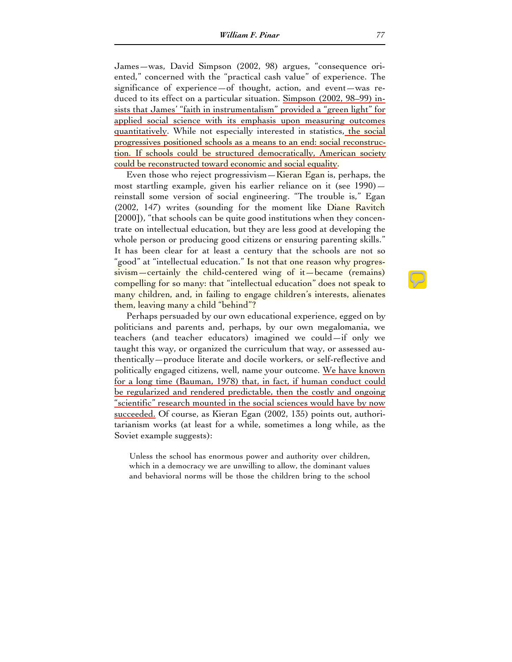James—was, David Simpson (2002, 98) argues, "consequence oriented," concerned with the "practical cash value" of experience. The significance of experience—of thought, action, and event—was reduced to its effect on a particular situation. Simpson (2002, 98–99) insists that James' "faith in instrumentalism" provided a "green light" for applied social science with its emphasis upon measuring outcomes quantitatively. While not especially interested in statistics, the social progressives positioned schools as a means to an end: social reconstruction. If schools could be structured democratically, American society could be reconstructed toward economic and social equality.

Even those who reject progressivism $-Ki$ eran Egan is, perhaps, the most startling example, given his earlier reliance on it (see  $1990$ ) – reinstall some version of social engineering. "The trouble is," Egan (2002, 147) writes (sounding for the moment like Diane Ravitch [2000]), "that schools can be quite good institutions when they concentrate on intellectual education, but they are less good at developing the whole person or producing good citizens or ensuring parenting skills." It has been clear for at least a century that the schools are not so "good" at "intellectual education." Is not that one reason why progressivism—certainly the child-centered wing of it—became (remains) compelling for so many: that "intellectual education" does not speak to many children, and, in failing to engage children's interests, alienates them, leaving many a child "behind"?

Perhaps persuaded by our own educational experience, egged on by politicians and parents and, perhaps, by our own megalomania, we teachers (and teacher educators) imagined we could—if only we taught this way, or organized the curriculum that way, or assessed authentically—produce literate and docile workers, or self-reflective and politically engaged citizens, well, name your outcome. We have known for a long time (Bauman, 1978) that, in fact, if human conduct could be regularized and rendered predictable, then the costly and ongoing "scientific" research mounted in the social sciences would have by now succeeded. Of course, as Kieran Egan (2002, 135) points out, authoritarianism works (at least for a while, sometimes a long while, as the Soviet example suggests):

Unless the school has enormous power and authority over children, which in a democracy we are unwilling to allow, the dominant values and behavioral norms will be those the children bring to the school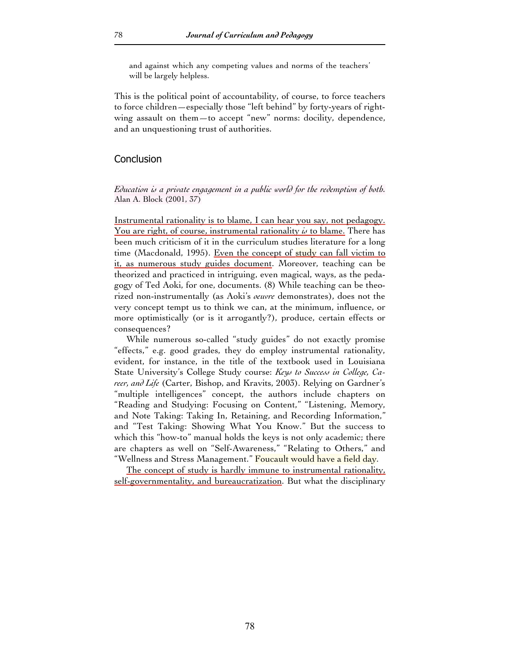and against which any competing values and norms of the teachers' will be largely helpless.

This is the political point of accountability, of course, to force teachers to force children—especially those "left behind" by forty-years of rightwing assault on them—to accept "new" norms: docility, dependence, and an unquestioning trust of authorities.

#### Conclusion

*Education is a private engagement in a public world for the redemption of both.* Alan A. Block (2001, 37)

Instrumental rationality is to blame, I can hear you say, not pedagogy. You are right, of course, instrumental rationality *is* to blame. There has been much criticism of it in the curriculum studies literature for a long time (Macdonald, 1995). Even the concept of study can fall victim to it, as numerous study guides document. Moreover, teaching can be theorized and practiced in intriguing, even magical, ways, as the pedagogy of Ted Aoki, for one, documents. (8) While teaching can be theorized non-instrumentally (as Aoki's *oeuvre* demonstrates), does not the very concept tempt us to think we can, at the minimum, influence, or more optimistically (or is it arrogantly?), produce, certain effects or consequences?

While numerous so-called "study guides" do not exactly promise "effects," e.g. good grades, they do employ instrumental rationality, evident, for instance, in the title of the textbook used in Louisiana State University's College Study course: *Keys to Success in College, Career, and Life* (Carter, Bishop, and Kravits, 2003). Relying on Gardner's "multiple intelligences" concept, the authors include chapters on "Reading and Studying: Focusing on Content," "Listening, Memory, and Note Taking: Taking In, Retaining, and Recording Information," and "Test Taking: Showing What You Know." But the success to which this "how-to" manual holds the keys is not only academic; there are chapters as well on "Self-Awareness," "Relating to Others," and "Wellness and Stress Management." <mark>Foucault would have a field day</mark>.

The concept of study is hardly immune to instrumental rationality, self-governmentality, and bureaucratization. But what the disciplinary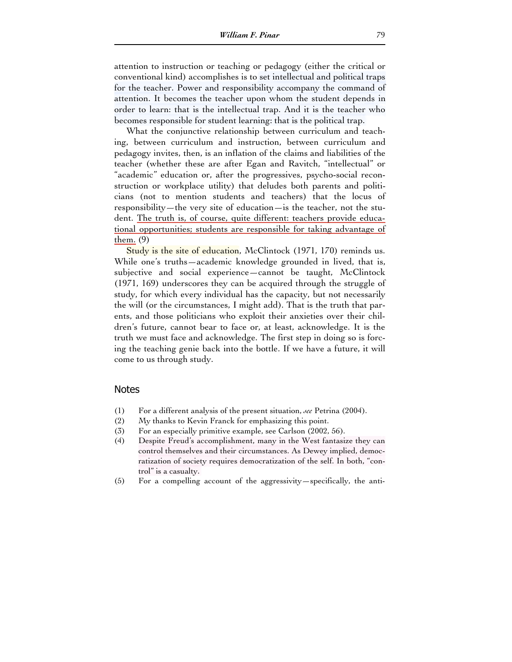attention to instruction or teaching or pedagogy (either the critical or conventional kind) accomplishes is to set intellectual and political traps for the teacher. Power and responsibility accompany the command of attention. It becomes the teacher upon whom the student depends in order to learn: that is the intellectual trap. And it is the teacher who becomes responsible for student learning: that is the political trap.

What the conjunctive relationship between curriculum and teaching, between curriculum and instruction, between curriculum and pedagogy invites, then, is an inflation of the claims and liabilities of the teacher (whether these are after Egan and Ravitch, "intellectual" or "academic" education or, after the progressives, psycho-social reconstruction or workplace utility) that deludes both parents and politicians (not to mention students and teachers) that the locus of responsibility—the very site of education—is the teacher, not the student. The truth is, of course, quite different: teachers provide educational opportunities; students are responsible for taking advantage of them. (9)

Study is the site of education, McClintock (1971, 170) reminds us. While one's truths—academic knowledge grounded in lived, that is, subjective and social experience—cannot be taught, McClintock (1971, 169) underscores they can be acquired through the struggle of study, for which every individual has the capacity, but not necessarily the will (or the circumstances, I might add). That is the truth that parents, and those politicians who exploit their anxieties over their children's future, cannot bear to face or, at least, acknowledge. It is the truth we must face and acknowledge. The first step in doing so is forcing the teaching genie back into the bottle. If we have a future, it will come to us through study.

#### Notes

- (1) For a different analysis of the present situation, *see* Petrina (2004).
- (2) My thanks to Kevin Franck for emphasizing this point.
- (3) For an especially primitive example, see Carlson (2002, 56).
- (4) Despite Freud's accomplishment, many in the West fantasize they can control themselves and their circumstances. As Dewey implied, democratization of society requires democratization of the self. In both, "control" is a casualty.
- (5) For a compelling account of the aggressivity—specifically, the anti-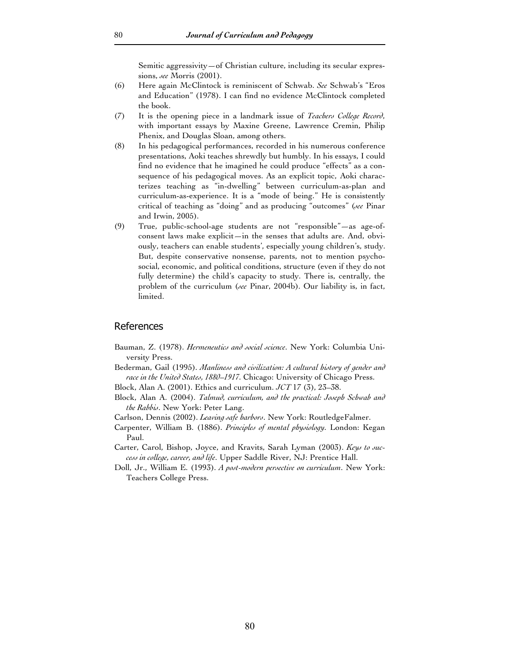Semitic aggressivity—of Christian culture, including its secular expressions, *see* Morris (2001).

- (6) Here again McClintock is reminiscent of Schwab. *See* Schwab's "Eros and Education" (1978). I can find no evidence McClintock completed the book.
- (7) It is the opening piece in a landmark issue of *Teachers College Record*, with important essays by Maxine Greene, Lawrence Cremin, Philip Phenix, and Douglas Sloan, among others.
- (8) In his pedagogical performances, recorded in his numerous conference presentations, Aoki teaches shrewdly but humbly. In his essays, I could find no evidence that he imagined he could produce "effects" as a consequence of his pedagogical moves. As an explicit topic, Aoki characterizes teaching as "in-dwelling" between curriculum-as-plan and curriculum-as-experience. It is a "mode of being." He is consistently critical of teaching as "doing" and as producing "outcomes" (*see* Pinar and Irwin, 2005).
- (9) True, public-school-age students are not "responsible"—as age-ofconsent laws make explicit—in the senses that adults are. And, obviously, teachers can enable students', especially young children's, study. But, despite conservative nonsense, parents, not to mention psychosocial, economic, and political conditions, structure (even if they do not fully determine) the child's capacity to study. There is, centrally, the problem of the curriculum (*see* Pinar, 2004b). Our liability is, in fact, limited.

## References

- Bauman, Z. (1978). *Hermeneutics and social science*. New York: Columbia University Press.
- Bederman, Gail (1995). *Manliness and civilization: A cultural history of gender and race in the United States, 1880–1917*. Chicago: University of Chicago Press.
- Block, Alan A. (2001). Ethics and curriculum. *JCT* 17 (3), 23–38.
- Block, Alan A. (2004). *Talmud, curriculum, and the practical: Joseph Schwab and the Rabbis*. New York: Peter Lang.
- Carlson, Dennis (2002). *Leaving safe harbors*. New York: RoutledgeFalmer.
- Carpenter, William B. (1886). *Principles of mental physiology*. London: Kegan Paul.
- Carter, Carol, Bishop, Joyce, and Kravits, Sarah Lyman (2003). *Keys to success in college, career, and life*. Upper Saddle River, NJ: Prentice Hall.
- Doll, Jr., William E. (1993). *A post-modern persective on curriculum*. New York: Teachers College Press.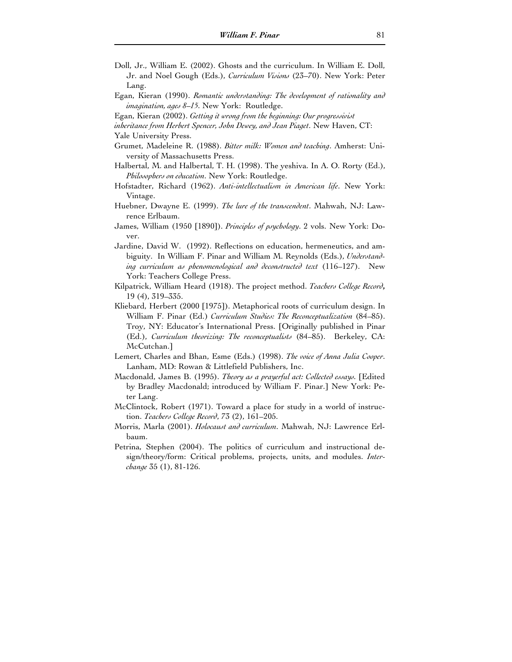- Doll, Jr., William E. (2002). Ghosts and the curriculum. In William E. Doll, Jr. and Noel Gough (Eds.), *Curriculum Visions* (23–70). New York: Peter Lang.
- Egan, Kieran (1990). *Romantic understanding: The development of rationality and imagination, ages 8–15*. New York: Routledge.
- Egan, Kieran (2002). *Getting it wrong from the beginning: Our progressivist*
- *inheritance from Herbert Spencer, John Dewey, and Jean Piaget*. New Haven, CT: Yale University Press.
- Grumet, Madeleine R. (1988). *Bitter milk: Women and teaching*. Amherst: University of Massachusetts Press.
- Halbertal, M. and Halbertal, T. H. (1998). The yeshiva. In A. O. Rorty (Ed.), *Philosophers on education*. New York: Routledge.
- Hofstadter, Richard (1962). *Anti-intellectualism in American life*. New York: Vintage.
- Huebner, Dwayne E. (1999). *The lure of the transcendent*. Mahwah, NJ: Lawrence Erlbaum.
- James, William (1950 [1890]). *Principles of psychology*. 2 vols. New York: Dover.
- Jardine, David W. (1992). Reflections on education, hermeneutics, and ambiguity. In William F. Pinar and William M. Reynolds (Eds.), *Understanding curriculum as phenomenological and deconstructed text* (116–127). New York: Teachers College Press.
- Kilpatrick, William Heard (1918). The project method. *Teachers College Record***,**  19 (4), 319–335.
- Kliebard, Herbert (2000 [1975]). Metaphorical roots of curriculum design. In William F. Pinar (Ed.) *Curriculum Studies: The Reconceptualization* (84–85). Troy, NY: Educator's International Press. [Originally published in Pinar (Ed.), *Curriculum theorizing: The reconceptualists* (84–85). Berkeley, CA: McCutchan.]
- Lemert, Charles and Bhan, Esme (Eds.) (1998). *The voice of Anna Julia Cooper*. Lanham, MD: Rowan & Littlefield Publishers, Inc.
- Macdonald, James B. (1995). *Theory as a prayerful act: Collected essays.* [Edited by Bradley Macdonald; introduced by William F. Pinar.] New York: Peter Lang.
- McClintock, Robert (1971). Toward a place for study in a world of instruction. *Teachers College Record*, 73 (2), 161–205.
- Morris, Marla (2001). *Holocaust and curriculum*. Mahwah, NJ: Lawrence Erlbaum.
- Petrina, Stephen (2004). The politics of curriculum and instructional design/theory/form: Critical problems, projects, units, and modules. *Interchange* 35 (1), 81-126.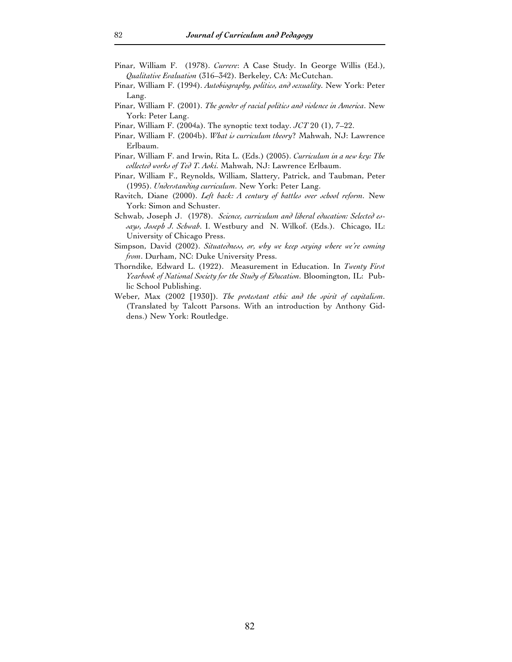- Pinar, William F. (1978). *Currere*: A Case Study. In George Willis (Ed.), *Qualitative Evaluation* (316–342). Berkeley, CA: McCutchan.
- Pinar, William F. (1994). *Autobiography, politics, and sexuality*. New York: Peter Lang.
- Pinar, William F. (2001). *The gender of racial politics and violence in America*. New York: Peter Lang.
- Pinar, William F. (2004a). The synoptic text today. *JCT* 20 (1), 7–22.
- Pinar, William F. (2004b). *What is curriculum theory*? Mahwah, NJ: Lawrence Erlbaum.
- Pinar, William F. and Irwin, Rita L. (Eds.) (2005). *Curriculum in a new key: The collected works of Ted T. Aoki*. Mahwah, NJ: Lawrence Erlbaum.
- Pinar, William F., Reynolds, William, Slattery, Patrick, and Taubman, Peter (1995). *Understanding curriculum*. New York: Peter Lang.
- Ravitch, Diane (2000). *Left back: A century of battles over school reform*. New York: Simon and Schuster.
- Schwab, Joseph J. (1978). *Science, curriculum and liberal education: Selected essays, Joseph J. Schwab*. I. Westbury and N. Wilkof. (Eds.). Chicago, IL: University of Chicago Press.
- Simpson, David (2002). *Situatedness, or, why we keep saying where we're coming from*. Durham, NC: Duke University Press.
- Thorndike, Edward L. (1922). Measurement in Education. In *Twenty First Yearbook of National Society for the Study of Education*. Bloomington, IL: Public School Publishing.
- Weber, Max (2002 [1930]). *The protestant ethic and the spirit of capitalism*. (Translated by Talcott Parsons. With an introduction by Anthony Giddens.) New York: Routledge.